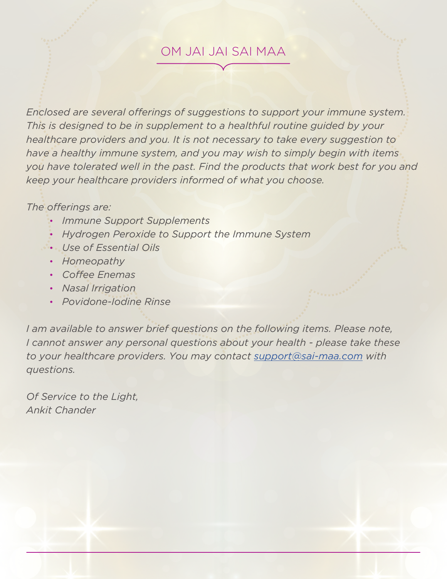### OM JAI JAI SAI MAA

*Enclosed are several offerings of suggestions to support your immune system. This is designed to be in supplement to a healthful routine guided by your healthcare providers and you. It is not necessary to take every suggestion to have a healthy immune system, and you may wish to simply begin with items you have tolerated well in the past. Find the products that work best for you and keep your healthcare providers informed of what you choose.*

#### *The offerings are:*

- *Immune Support Supplements*
- *Hydrogen Peroxide to Support the Immune System*
- *Use of Essential Oils*
- *Homeopathy*
- *Coffee Enemas*
- *Nasal Irrigation*
- *Povidone-Iodine Rinse*

*I am available to answer brief questions on the following items. Please note, I cannot answer any personal questions about your health - please take these to your healthcare providers. You may contact support@sai-maa.com with questions.* 

*Of Service to the Light, Ankit Chander*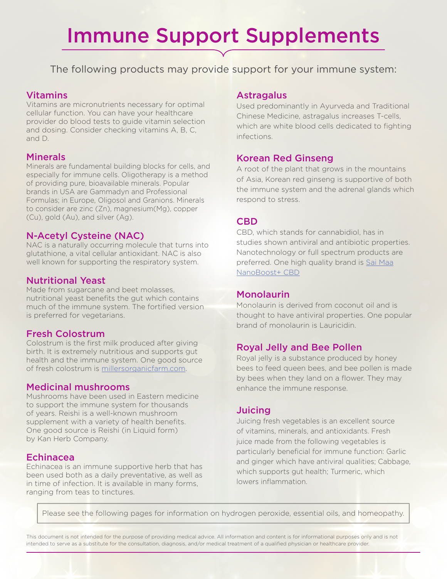## Immune Support Supplements

The following products may provide support for your immune system:

#### Vitamins

Vitamins are micronutrients necessary for optimal cellular function. You can have your healthcare provider do blood tests to guide vitamin selection and dosing. Consider checking vitamins A, B, C, and D.

#### **Minerals**

Minerals are fundamental building blocks for cells, and especially for immune cells. Oligotherapy is a method of providing pure, bioavailable minerals. Popular brands in USA are Gammadyn and Professional Formulas; in Europe, Oligosol and Granions. Minerals to consider are zinc (Zn), magnesium(Mg), copper (Cu), gold (Au), and silver (Ag).

#### N-Acetyl Cysteine (NAC)

NAC is a naturally occurring molecule that turns into glutathione, a vital cellular antioxidant. NAC is also well known for supporting the respiratory system.

#### Nutritional Yeast

Made from sugarcane and beet molasses, nutritional yeast benefits the gut which contains much of the immune system. The fortified version is preferred for vegetarians.

#### Fresh Colostrum

Colostrum is the first milk produced after giving birth. It is extremely nutritious and supports gut health and the immune system. One good source of fresh colostrum is millersorganicfarm.com.

#### Medicinal mushrooms

Mushrooms have been used in Eastern medicine to support the immune system for thousands of years. Reishi is a well-known mushroom supplement with a variety of health benefits. One good source is Reishi (in Liquid form) by Kan Herb Company.

#### Echinacea

Echinacea is an immune supportive herb that has been used both as a daily preventative, as well as in time of infection. It is available in many forms, ranging from teas to tinctures.

#### Astragalus

Used predominantly in Ayurveda and Traditional Chinese Medicine, astragalus increases T-cells, which are white blood cells dedicated to fighting infections.

#### Korean Red Ginseng

A root of the plant that grows in the mountains of Asia, Korean red ginseng is supportive of both the immune system and the adrenal glands which respond to stress.

#### **CBD**

CBD, which stands for cannabidiol, has in studies shown antiviral and antibiotic properties. Nanotechnology or full spectrum products are preferred. One high quality brand is Sai Maa NanoBoost+ CBD

#### Monolaurin

Monolaurin is derived from coconut oil and is thought to have antiviral properties. One popular brand of monolaurin is Lauricidin.

#### Royal Jelly and Bee Pollen

Royal jelly is a substance produced by honey bees to feed queen bees, and bee pollen is made by bees when they land on a flower. They may enhance the immune response.

#### Juicing

Juicing fresh vegetables is an excellent source of vitamins, minerals, and antioxidants. Fresh juice made from the following vegetables is particularly beneficial for immune function: Garlic and ginger which have antiviral qualities; Cabbage, which supports gut health; Turmeric, which lowers inflammation.

Please see the following pages for information on hydrogen peroxide, essential oils, and homeopathy.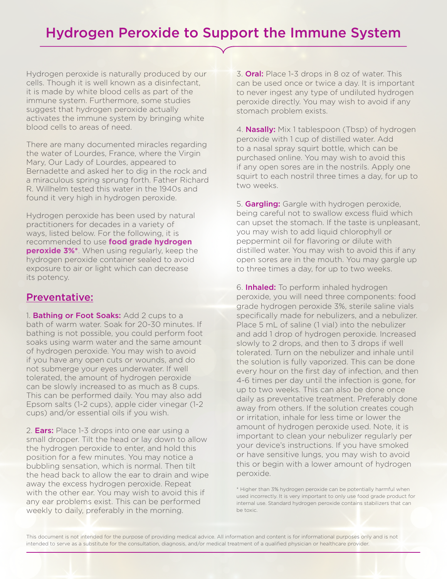### Hydrogen Peroxide to Support the Immune System

Hydrogen peroxide is naturally produced by our cells. Though it is well known as a disinfectant, it is made by white blood cells as part of the immune system. Furthermore, some studies suggest that hydrogen peroxide actually activates the immune system by bringing white blood cells to areas of need.

There are many documented miracles regarding the water of Lourdes, France, where the Virgin Mary, Our Lady of Lourdes, appeared to Bernadette and asked her to dig in the rock and a miraculous spring sprung forth. Father Richard R. Willhelm tested this water in the 1940s and found it very high in hydrogen peroxide.

Hydrogen peroxide has been used by natural practitioners for decades in a variety of ways, listed below. For the following, it is recommended to use **food grade hydrogen peroxide 3%\***. When using regularly, keep the hydrogen peroxide container sealed to avoid exposure to air or light which can decrease its potency.

#### Preventative:

1. Bathing or Foot Soaks: Add 2 cups to a bath of warm water. Soak for 20-30 minutes. If bathing is not possible, you could perform foot soaks using warm water and the same amount of hydrogen peroxide. You may wish to avoid if you have any open cuts or wounds, and do not submerge your eyes underwater. If well tolerated, the amount of hydrogen peroxide can be slowly increased to as much as 8 cups. This can be performed daily. You may also add Epsom salts (1-2 cups), apple cider vinegar (1-2 cups) and/or essential oils if you wish.

2. **Ears:** Place 1-3 drops into one ear using a small dropper. Tilt the head or lay down to allow the hydrogen peroxide to enter, and hold this position for a few minutes. You may notice a bubbling sensation, which is normal. Then tilt the head back to allow the ear to drain and wipe away the excess hydrogen peroxide. Repeat with the other ear. You may wish to avoid this if any ear problems exist. This can be performed weekly to daily, preferably in the morning.

3. Oral: Place 1-3 drops in 8 oz of water. This can be used once or twice a day. It is important to never ingest any type of undiluted hydrogen peroxide directly. You may wish to avoid if any stomach problem exists.

4. **Nasally:** Mix 1 tablespoon (Tbsp) of hydrogen peroxide with 1 cup of distilled water. Add to a nasal spray squirt bottle, which can be purchased online. You may wish to avoid this if any open sores are in the nostrils. Apply one squirt to each nostril three times a day, for up to two weeks.

5. **Gargling:** Gargle with hydrogen peroxide, being careful not to swallow excess fluid which can upset the stomach. If the taste is unpleasant, you may wish to add liquid chlorophyll or peppermint oil for flavoring or dilute with distilled water. You may wish to avoid this if any open sores are in the mouth. You may gargle up to three times a day, for up to two weeks.

6. **Inhaled:** To perform inhaled hydrogen peroxide, you will need three components: food grade hydrogen peroxide 3%, sterile saline vials specifically made for nebulizers, and a nebulizer. Place 5 mL of saline (1 vial) into the nebulizer and add 1 drop of hydrogen peroxide. Increased slowly to 2 drops, and then to 3 drops if well tolerated. Turn on the nebulizer and inhale until the solution is fully vaporized. This can be done every hour on the first day of infection, and then 4-6 times per day until the infection is gone, for up to two weeks. This can also be done once daily as preventative treatment. Preferably done away from others. If the solution creates cough or irritation, inhale for less time or lower the amount of hydrogen peroxide used. Note, it is important to clean your nebulizer regularly per your device's instructions. If you have smoked or have sensitive lungs, you may wish to avoid this or begin with a lower amount of hydrogen peroxide.

\* Higher than 3% hydrogen peroxide can be potentially harmful when used incorrectly. It is very important to only use food grade product for internal use. Standard hydrogen peroxide contains stabilizers that can be toxic.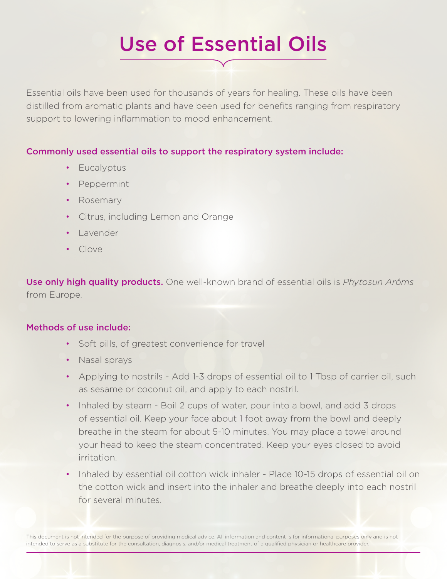# Use of Essential Oils

Essential oils have been used for thousands of years for healing. These oils have been distilled from aromatic plants and have been used for benefits ranging from respiratory support to lowering inflammation to mood enhancement.

#### Commonly used essential oils to support the respiratory system include:

- Eucalyptus
- Peppermint
- Rosemary
- Citrus, including Lemon and Orange
- Lavender
- Clove

Use only high quality products. One well-known brand of essential oils is *Phytosun Arôms* from Europe.

#### Methods of use include:

- Soft pills, of greatest convenience for travel
- Nasal sprays
- Applying to nostrils Add 1-3 drops of essential oil to 1 Tbsp of carrier oil, such as sesame or coconut oil, and apply to each nostril.
- Inhaled by steam Boil 2 cups of water, pour into a bowl, and add 3 drops of essential oil. Keep your face about 1 foot away from the bowl and deeply breathe in the steam for about 5-10 minutes. You may place a towel around your head to keep the steam concentrated. Keep your eyes closed to avoid irritation.
- Inhaled by essential oil cotton wick inhaler Place 10-15 drops of essential oil on the cotton wick and insert into the inhaler and breathe deeply into each nostril for several minutes.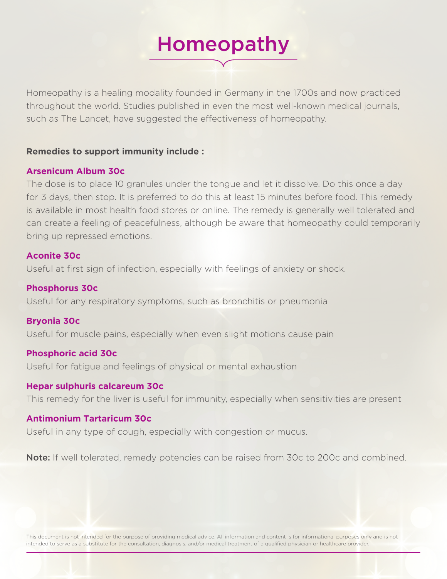# Homeopathy

Homeopathy is a healing modality founded in Germany in the 1700s and now practiced throughout the world. Studies published in even the most well-known medical journals, such as The Lancet, have suggested the effectiveness of homeopathy.

#### **Remedies to support immunity include :**

#### **Arsenicum Album 30c**

The dose is to place 10 granules under the tongue and let it dissolve. Do this once a day for 3 days, then stop. It is preferred to do this at least 15 minutes before food. This remedy is available in most health food stores or online. The remedy is generally well tolerated and can create a feeling of peacefulness, although be aware that homeopathy could temporarily bring up repressed emotions.

#### **Aconite 30c**

Useful at first sign of infection, especially with feelings of anxiety or shock.

#### **Phosphorus 30c**

Useful for any respiratory symptoms, such as bronchitis or pneumonia

#### **Bryonia 30c**

Useful for muscle pains, especially when even slight motions cause pain

#### **Phosphoric acid 30c**

Useful for fatigue and feelings of physical or mental exhaustion

#### **Hepar sulphuris calcareum 30c**

This remedy for the liver is useful for immunity, especially when sensitivities are present

#### **Antimonium Tartaricum 30c**

Useful in any type of cough, especially with congestion or mucus.

Note: If well tolerated, remedy potencies can be raised from 30c to 200c and combined.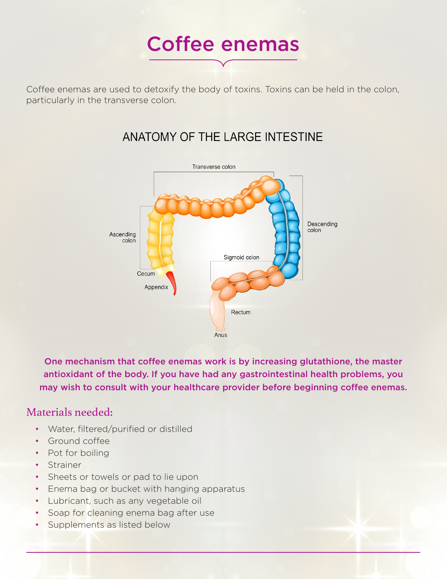

Coffee enemas are used to detoxify the body of toxins. Toxins can be held in the colon, particularly in the transverse colon.

### ANATOMY OF THE LARGE INTESTINE



One mechanism that coffee enemas work is by increasing glutathione, the master antioxidant of the body. If you have had any gastrointestinal health problems, you may wish to consult with your healthcare provider before beginning coffee enemas.

#### Materials needed:

- Water, filtered/purified or distilled
- Ground coffee
- Pot for boiling
- Strainer
- Sheets or towels or pad to lie upon
- Enema bag or bucket with hanging apparatus
- Lubricant, such as any vegetable oil
- Soap for cleaning enema bag after use
- Supplements as listed below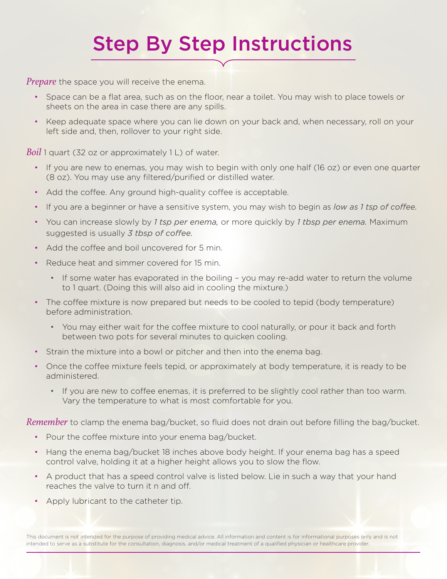## Step By Step Instructions

*Prepare* the space you will receive the enema.

- Space can be a flat area, such as on the floor, near a toilet. You may wish to place towels or sheets on the area in case there are any spills.
- Keep adequate space where you can lie down on your back and, when necessary, roll on your left side and, then, rollover to your right side.

*Boil* 1 quart (32 oz or approximately 1 L) of water.

- If you are new to enemas, you may wish to begin with only one half (16 oz) or even one quarter (8 oz). You may use any filtered/purified or distilled water.
- Add the coffee. Any ground high-quality coffee is acceptable.
- If you are a beginner or have a sensitive system, you may wish to begin as *low as 1 tsp of coffee.*
- You can increase slowly by *1 tsp per enema,* or more quickly by *1 tbsp per enema.* Maximum suggested is usually *3 tbsp of coffee.*
- Add the coffee and boil uncovered for 5 min.
- Reduce heat and simmer covered for 15 min.
	- If some water has evaporated in the boiling you may re-add water to return the volume to 1 quart. (Doing this will also aid in cooling the mixture.)
- The coffee mixture is now prepared but needs to be cooled to tepid (body temperature) before administration.
	- You may either wait for the coffee mixture to cool naturally, or pour it back and forth between two pots for several minutes to quicken cooling.
- Strain the mixture into a bowl or pitcher and then into the enema bag.
- Once the coffee mixture feels tepid, or approximately at body temperature, it is ready to be administered.
	- If you are new to coffee enemas, it is preferred to be slightly cool rather than too warm. Vary the temperature to what is most comfortable for you.

*Remember* to clamp the enema bag/bucket, so fluid does not drain out before filling the bag/bucket.

- Pour the coffee mixture into your enema bag/bucket.
- Hang the enema bag/bucket 18 inches above body height. If your enema bag has a speed control valve, holding it at a higher height allows you to slow the flow.
- A product that has a speed control valve is listed below. Lie in such a way that your hand reaches the valve to turn it n and off.
- Apply lubricant to the catheter tip.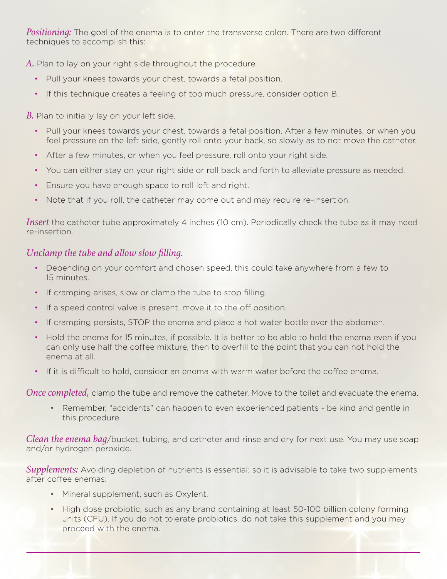*Positioning:* The goal of the enema is to enter the transverse colon. There are two different techniques to accomplish this:

*A.* Plan to lay on your right side throughout the procedure.

- Pull your knees towards your chest, towards a fetal position.
- If this technique creates a feeling of too much pressure, consider option B.

*B.* Plan to initially lay on your left side.

- Pull your knees towards your chest, towards a fetal position. After a few minutes, or when you feel pressure on the left side, gently roll onto your back, so slowly as to not move the catheter.
- After a few minutes, or when you feel pressure, roll onto your right side.
- You can either stay on your right side or roll back and forth to alleviate pressure as needed.
- Ensure you have enough space to roll left and right.
- Note that if you roll, the catheter may come out and may require re-insertion.

*Insert* the catheter tube approximately 4 inches (10 cm). Periodically check the tube as it may need re-insertion.

#### *Unclamp the tube and allow slow filling.*

- Depending on your comfort and chosen speed, this could take anywhere from a few to 15 minutes.
- If cramping arises, slow or clamp the tube to stop filling.
- If a speed control valve is present, move it to the off position.
- If cramping persists, STOP the enema and place a hot water bottle over the abdomen.
- Hold the enema for 15 minutes, if possible. It is better to be able to hold the enema even if you can only use half the coffee mixture, then to overfill to the point that you can not hold the enema at all.
- If it is difficult to hold, consider an enema with warm water before the coffee enema.

*Once completed,* clamp the tube and remove the catheter. Move to the toilet and evacuate the enema.

 • Remember, "accidents" can happen to even experienced patients - be kind and gentle in this procedure.

*Clean the enema bag*/bucket, tubing, and catheter and rinse and dry for next use. You may use soap and/or hydrogen peroxide.

*Supplements:* Avoiding depletion of nutrients is essential; so it is advisable to take two supplements after coffee enemas:

- Mineral supplement, such as Oxylent,
- High dose probiotic, such as any brand containing at least 50-100 billion colony forming units (CFU). If you do not tolerate probiotics, do not take this supplement and you may proceed with the enema.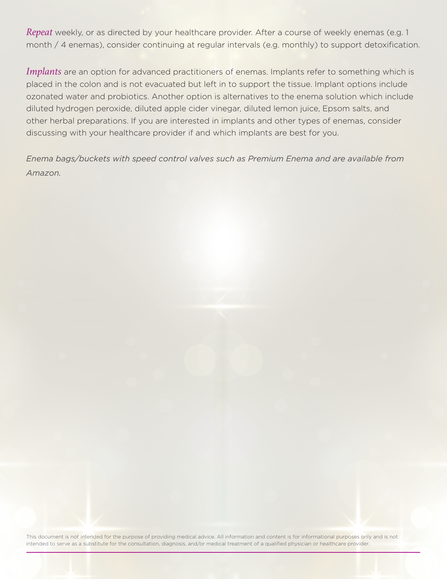*Repeat* weekly, or as directed by your healthcare provider. After a course of weekly enemas (e.g. 1 month / 4 enemas), consider continuing at regular intervals (e.g. monthly) to support detoxification.

*Implants* are an option for advanced practitioners of enemas. Implants refer to something which is placed in the colon and is not evacuated but left in to support the tissue. Implant options include ozonated water and probiotics. Another option is alternatives to the enema solution which include diluted hydrogen peroxide, diluted apple cider vinegar, diluted lemon juice, Epsom salts, and other herbal preparations. If you are interested in implants and other types of enemas, consider discussing with your healthcare provider if and which implants are best for you.

*Enema bags/buckets with speed control valves such as Premium Enema and are available from Amazon.*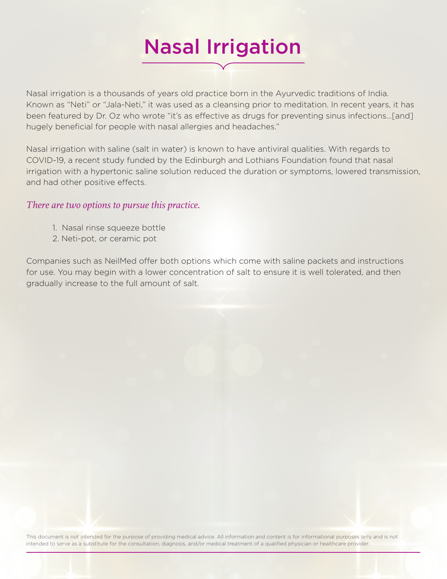# Nasal Irrigation

Nasal irrigation is a thousands of years old practice born in the Ayurvedic traditions of India. Known as "Neti" or "Jala-Neti," it was used as a cleansing prior to meditation. In recent years, it has been featured by Dr. Oz who wrote "it's as effective as drugs for preventing sinus infections…[and] hugely beneficial for people with nasal allergies and headaches."

Nasal irrigation with saline (salt in water) is known to have antiviral qualities. With regards to COVID-19, a recent study funded by the Edinburgh and Lothians Foundation found that nasal irrigation with a hypertonic saline solution reduced the duration or symptoms, lowered transmission, and had other positive effects.

#### *There are two options to pursue this practice.*

- 1. Nasal rinse squeeze bottle
- 2. Neti-pot, or ceramic pot

Companies such as NeilMed offer both options which come with saline packets and instructions for use. You may begin with a lower concentration of salt to ensure it is well tolerated, and then gradually increase to the full amount of salt.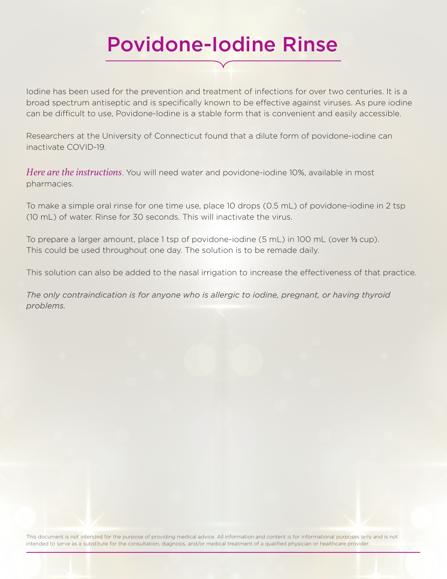### Povidone-Iodine Rinse

Iodine has been used for the prevention and treatment of infections for over two centuries. It is a broad spectrum antiseptic and is specifically known to be effective against viruses. As pure iodine can be difficult to use, Povidone-Iodine is a stable form that is convenient and easily accessible.

Researchers at the University of Connecticut found that a dilute form of povidone-iodine can inactivate COVID-19.

*Here are the instructions*. You will need water and povidone-iodine 10%, available in most pharmacies.

To make a simple oral rinse for one time use, place 10 drops (0.5 mL) of povidone-iodine in 2 tsp (10 mL) of water. Rinse for 30 seconds. This will inactivate the virus.

To prepare a larger amount, place 1 tsp of povidone-iodine (5 mL) in 100 mL (over ⅓ cup). This could be used throughout one day. The solution is to be remade daily.

This solution can also be added to the nasal irrigation to increase the effectiveness of that practice.

*The only contraindication is for anyone who is allergic to iodine, pregnant, or having thyroid problems.*